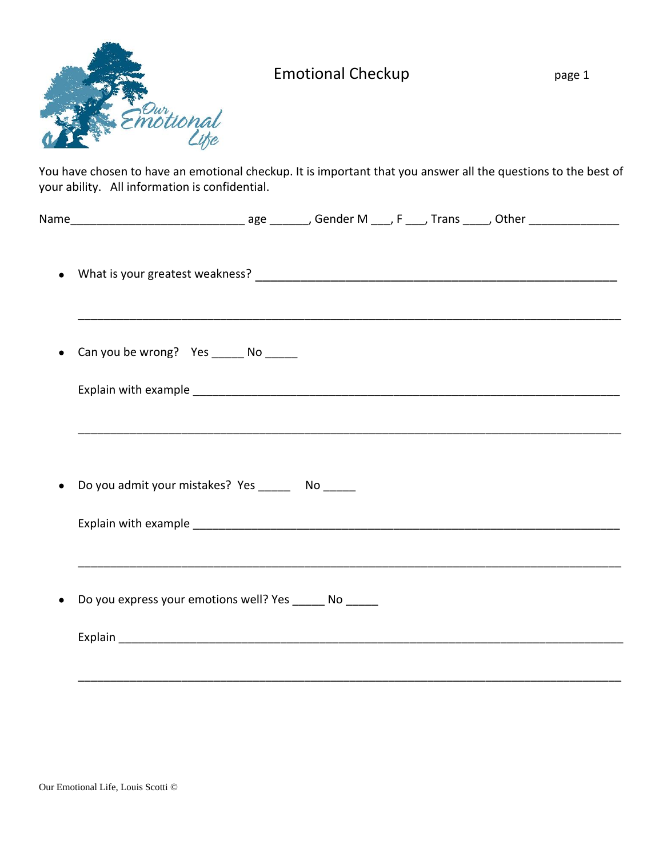

## Emotional Checkup page 1

You have chosen to have an emotional checkup. It is important that you answer all the questions to the best of your ability. All information is confidential.

| $\bullet$ |                                                         |
|-----------|---------------------------------------------------------|
| $\bullet$ | Can you be wrong? Yes ______ No _____                   |
|           |                                                         |
| $\bullet$ | Do you admit your mistakes? Yes ________ No ______      |
|           |                                                         |
| $\bullet$ | Do you express your emotions well? Yes ______ No ______ |
|           |                                                         |
|           |                                                         |

Our Emotional Life, Louis Scotti ©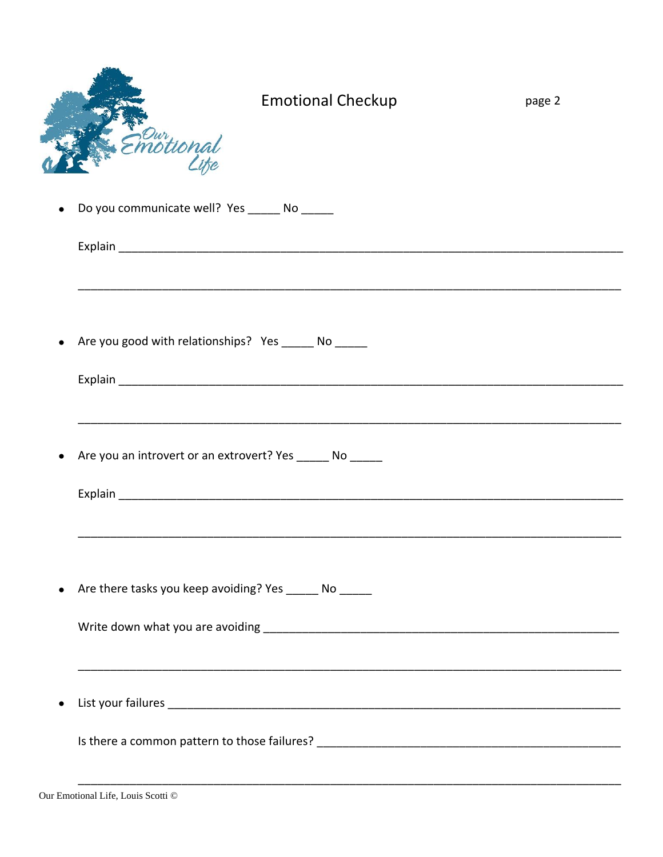| eur<br>notional                                            | <b>Emotional Checkup</b> | page 2 |
|------------------------------------------------------------|--------------------------|--------|
| Do you communicate well? Yes ______ No _____               |                          |        |
|                                                            |                          |        |
|                                                            |                          |        |
| Are you good with relationships? Yes ______ No _____       |                          |        |
|                                                            |                          |        |
| Are you an introvert or an extrovert? Yes ______ No ______ |                          |        |
|                                                            |                          |        |
| Are there tasks you keep avoiding? Yes ______ No _____     |                          |        |
|                                                            |                          |        |
|                                                            |                          |        |
|                                                            |                          |        |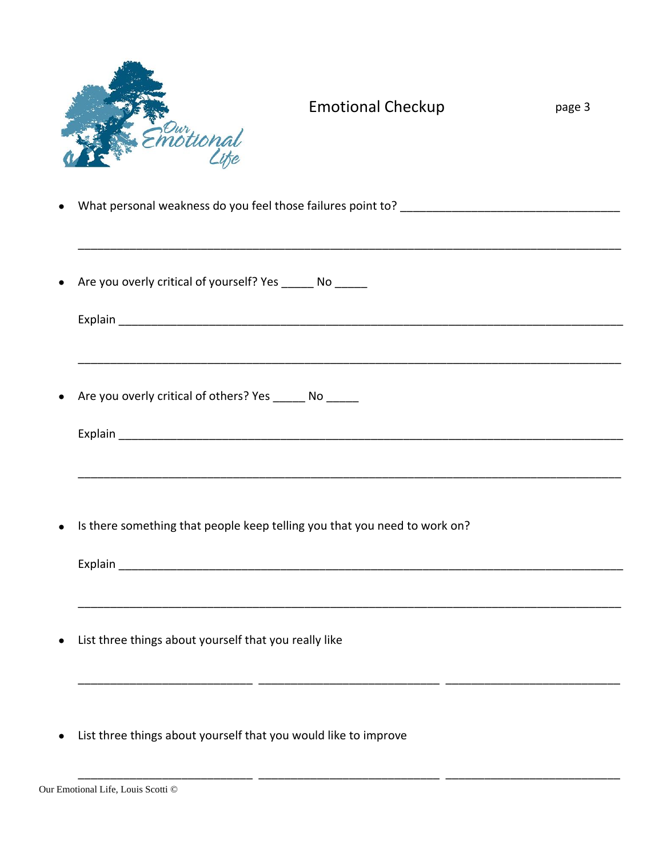

\_\_\_\_\_\_\_\_\_\_\_\_\_\_\_\_\_\_\_\_\_\_\_\_\_\_\_\_\_\_\_\_\_\_\_\_\_\_\_\_\_\_\_\_\_\_\_\_\_\_\_\_\_\_\_\_\_\_\_\_\_\_\_\_\_\_\_\_\_\_\_\_\_\_\_\_\_\_\_\_\_\_\_\_

\_\_\_\_\_\_\_\_\_\_\_\_\_\_\_\_\_\_\_\_\_\_\_\_\_\_\_\_\_\_\_\_\_\_\_\_\_\_\_\_\_\_\_\_\_\_\_\_\_\_\_\_\_\_\_\_\_\_\_\_\_\_\_\_\_\_\_\_\_\_\_\_\_\_\_\_\_\_\_\_\_\_\_\_

\_\_\_\_\_\_\_\_\_\_\_\_\_\_\_\_\_\_\_\_\_\_\_\_\_\_\_\_\_\_\_\_\_\_\_\_\_\_\_\_\_\_\_\_\_\_\_\_\_\_\_\_\_\_\_\_\_\_\_\_\_\_\_\_\_\_\_\_\_\_\_\_\_\_\_\_\_\_\_\_\_\_\_\_

What personal weakness do you feel those failures point to? \_\_\_\_\_\_\_\_\_\_\_\_\_\_\_\_\_\_\_\_\_\_\_\_\_\_\_\_\_\_\_\_\_\_

Are you overly critical of yourself? Yes No

Explain \_\_\_\_\_\_\_\_\_\_\_\_\_\_\_\_\_\_\_\_\_\_\_\_\_\_\_\_\_\_\_\_\_\_\_\_\_\_\_\_\_\_\_\_\_\_\_\_\_\_\_\_\_\_\_\_\_\_\_\_\_\_\_\_\_\_\_\_\_\_\_\_\_\_\_\_\_\_

Are you overly critical of others? Yes \_\_\_\_\_ No \_\_\_\_\_

Explain  $\blacksquare$ 

Is there something that people keep telling you that you need to work on?

 $\textsf{Explain}$ 

\_\_\_\_\_\_\_\_\_\_\_\_\_\_\_\_\_\_\_\_\_\_\_\_\_\_\_\_\_\_\_\_\_\_\_\_\_\_\_\_\_\_\_\_\_\_\_\_\_\_\_\_\_\_\_\_\_\_\_\_\_\_\_\_\_\_\_\_\_\_\_\_\_\_\_\_\_\_\_\_\_\_\_\_

\_\_\_\_\_\_\_\_\_\_\_\_\_\_\_\_\_\_\_\_\_\_\_\_\_\_\_ \_\_\_\_\_\_\_\_\_\_\_\_\_\_\_\_\_\_\_\_\_\_\_\_\_\_\_\_ \_\_\_\_\_\_\_\_\_\_\_\_\_\_\_\_\_\_\_\_\_\_\_\_\_\_\_

\_\_\_\_\_\_\_\_\_\_\_\_\_\_\_\_\_\_\_\_\_\_\_\_\_\_\_ \_\_\_\_\_\_\_\_\_\_\_\_\_\_\_\_\_\_\_\_\_\_\_\_\_\_\_\_ \_\_\_\_\_\_\_\_\_\_\_\_\_\_\_\_\_\_\_\_\_\_\_\_\_\_\_

- List three things about yourself that you really like
- List three things about yourself that you would like to improve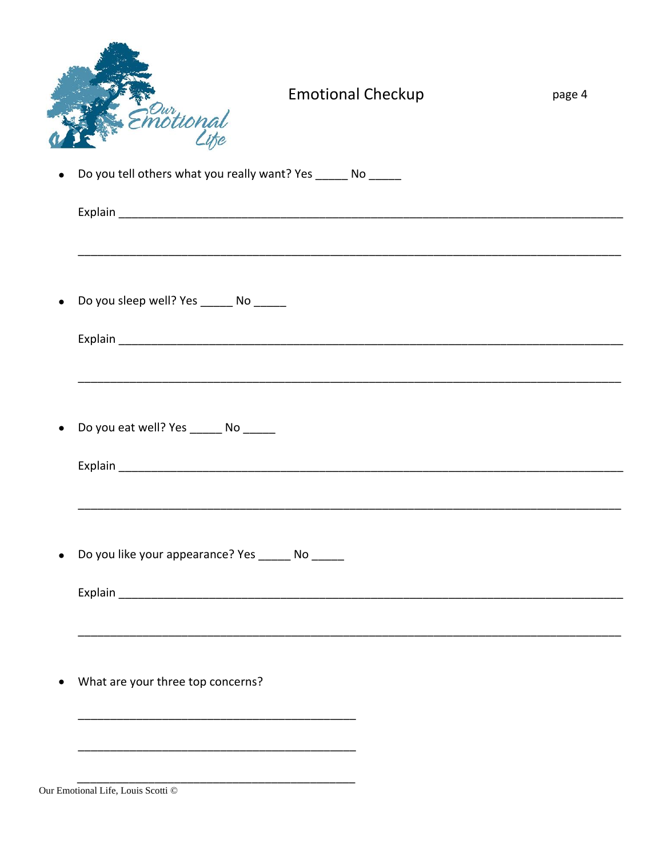ur<br>otional K

## **Emotional Checkup**

page 4

| $\sum_{k=1}^{\infty}$                                                 |
|-----------------------------------------------------------------------|
| Do you tell others what you really want? Yes ______ No _____          |
|                                                                       |
|                                                                       |
| Do you sleep well? Yes _______ No ______                              |
|                                                                       |
| Do you eat well? Yes ______ No _____                                  |
|                                                                       |
| Do you like your appearance? Yes _______ No ______<br>Explain explain |
|                                                                       |
| What are your three top concerns?                                     |
|                                                                       |

Our Emotional Life, Louis Scotti ©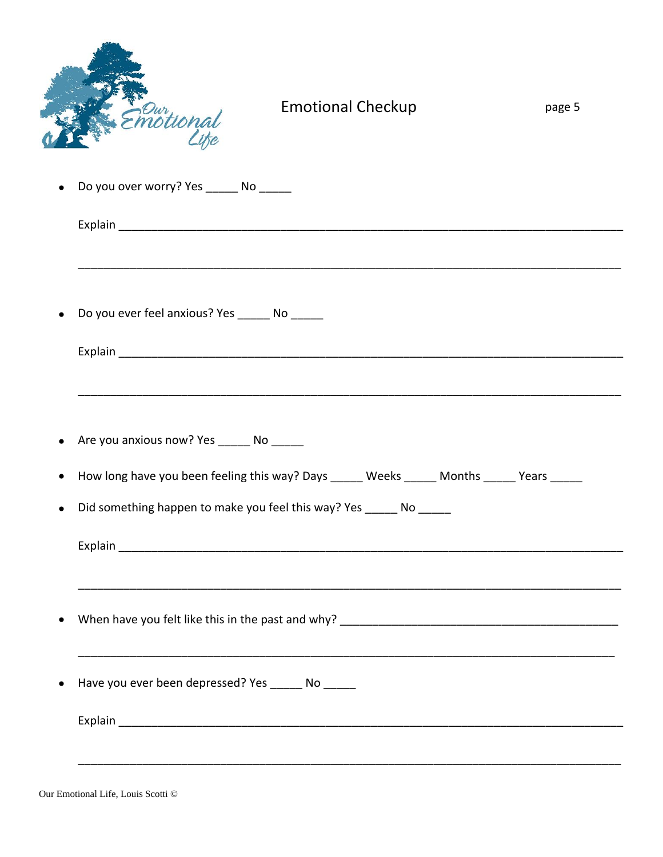

| $\bullet$              | Do you over worry? Yes ______ No _____                                                                                                                                                                                        |
|------------------------|-------------------------------------------------------------------------------------------------------------------------------------------------------------------------------------------------------------------------------|
|                        |                                                                                                                                                                                                                               |
|                        |                                                                                                                                                                                                                               |
| $\bullet$              | Do you ever feel anxious? Yes ______ No ______                                                                                                                                                                                |
|                        | Explain executive contract to the contract of the contract of the contract of the contract of the contract of the contract of the contract of the contract of the contract of the contract of the contract of the contract of |
|                        |                                                                                                                                                                                                                               |
| $\bullet$              | Are you anxious now? Yes ______ No ______                                                                                                                                                                                     |
| $\bullet$<br>$\bullet$ | How long have you been feeling this way? Days _____ Weeks _____ Months _____ Years _____<br>Did something happen to make you feel this way? Yes ______ No ______                                                              |
|                        |                                                                                                                                                                                                                               |
|                        | When have you felt like this in the past and why?                                                                                                                                                                             |
|                        | Have you ever been depressed? Yes ______ No ______                                                                                                                                                                            |
|                        |                                                                                                                                                                                                                               |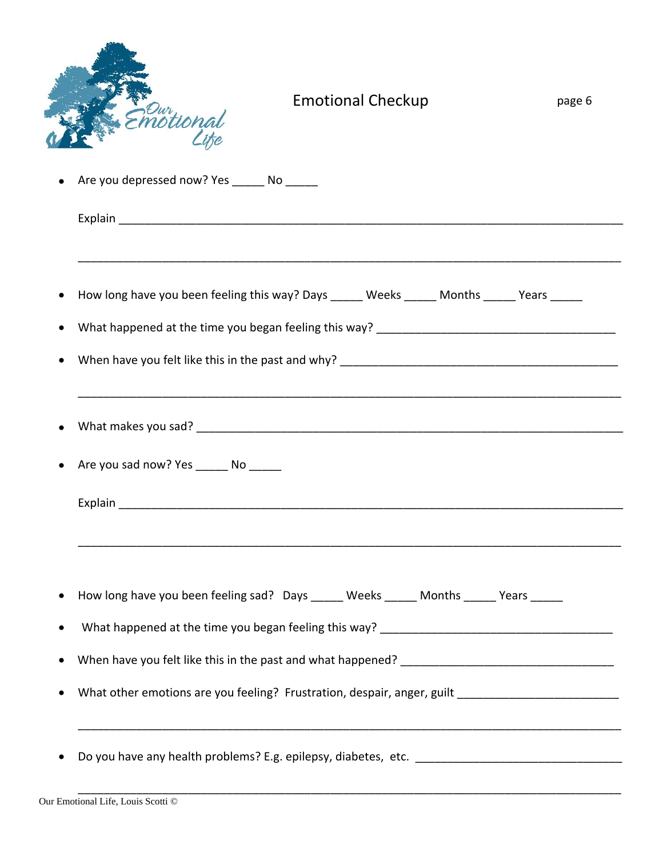|                                            | <b>Emotional Checkup</b>                                                                                                                                                                                                       | page 6 |
|--------------------------------------------|--------------------------------------------------------------------------------------------------------------------------------------------------------------------------------------------------------------------------------|--------|
| Are you depressed now? Yes ______ No _____ |                                                                                                                                                                                                                                |        |
|                                            |                                                                                                                                                                                                                                |        |
|                                            | How long have you been feeling this way? Days _____ Weeks _____ Months _____ Years _____                                                                                                                                       |        |
|                                            |                                                                                                                                                                                                                                |        |
|                                            |                                                                                                                                                                                                                                |        |
| Are you sad now? Yes _______ No ______     |                                                                                                                                                                                                                                |        |
|                                            | Explain the contract of the contract of the contract of the contract of the contract of the contract of the contract of the contract of the contract of the contract of the contract of the contract of the contract of the co |        |
|                                            | How long have you been feeling sad? Days _____ Weeks _____ Months _____ Years _____                                                                                                                                            |        |
|                                            |                                                                                                                                                                                                                                |        |
|                                            |                                                                                                                                                                                                                                |        |
|                                            | What other emotions are you feeling? Frustration, despair, anger, guilt ____________________________                                                                                                                           |        |
|                                            |                                                                                                                                                                                                                                |        |

\_\_\_\_\_\_\_\_\_\_\_\_\_\_\_\_\_\_\_\_\_\_\_\_\_\_\_\_\_\_\_\_\_\_\_\_\_\_\_\_\_\_\_\_\_\_\_\_\_\_\_\_\_\_\_\_\_\_\_\_\_\_\_\_\_\_\_\_\_\_\_\_\_\_\_\_\_\_\_\_\_\_\_\_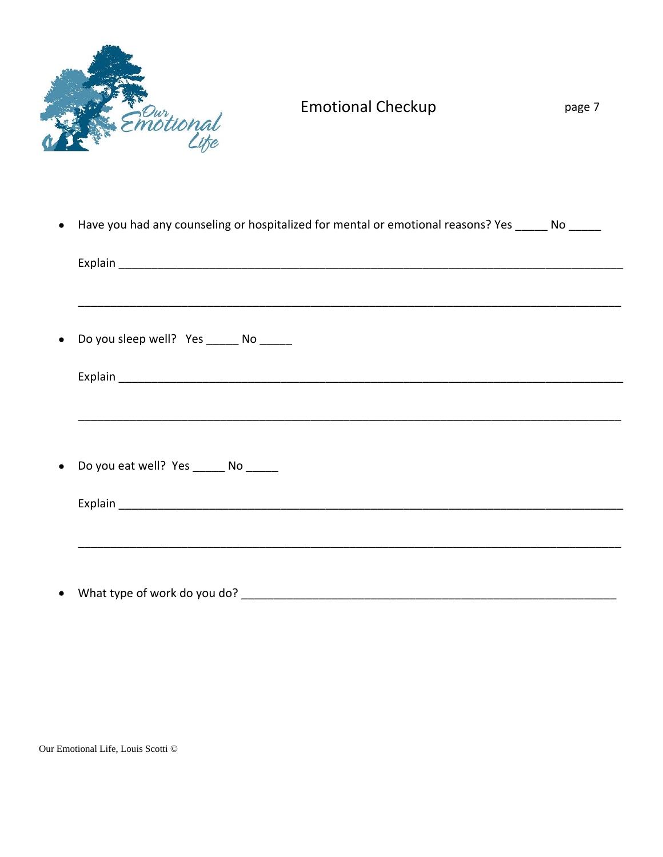

## **Emotional Checkup**

page 7

| • Have you had any counseling or hospitalized for mental or emotional reasons? Yes _____ No _____                                                                                                                              |  |
|--------------------------------------------------------------------------------------------------------------------------------------------------------------------------------------------------------------------------------|--|
| Explain executive and the contract of the contract of the contract of the contract of the contract of the contract of the contract of the contract of the contract of the contract of the contract of the contract of the cont |  |
|                                                                                                                                                                                                                                |  |
| Do you sleep well? Yes ______ No _____                                                                                                                                                                                         |  |
|                                                                                                                                                                                                                                |  |
|                                                                                                                                                                                                                                |  |
| Do you eat well? Yes ______ No _____                                                                                                                                                                                           |  |
|                                                                                                                                                                                                                                |  |
|                                                                                                                                                                                                                                |  |

Our Emotional Life, Louis Scotti $\copyright$